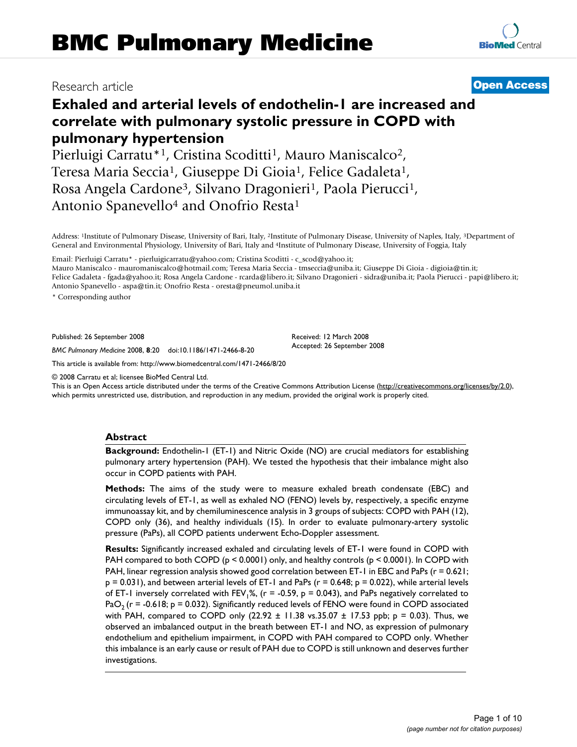# **Exhaled and arterial levels of endothelin-1 are increased and correlate with pulmonary systolic pressure in COPD with pulmonary hypertension**

Pierluigi Carratu\*<sup>1</sup>, Cristina Scoditti<sup>1</sup>, Mauro Maniscalco<sup>2</sup>, Teresa Maria Seccia1, Giuseppe Di Gioia1, Felice Gadaleta1, Rosa Angela Cardone3, Silvano Dragonieri1, Paola Pierucci1, Antonio Spanevello<sup>4</sup> and Onofrio Resta<sup>1</sup>

Address: 1Institute of Pulmonary Disease, University of Bari, Italy, 2Institute of Pulmonary Disease, University of Naples, Italy, 3Department of General and Environmental Physiology, University of Bari, Italy and 4Institute of Pulmonary Disease, University of Foggia, Italy

Email: Pierluigi Carratu\* - pierluigicarratu@yahoo.com; Cristina Scoditti - c\_scod@yahoo.it;

Mauro Maniscalco - mauromaniscalco@hotmail.com; Teresa Maria Seccia - tmseccia@uniba.it; Giuseppe Di Gioia - digioia@tin.it; Felice Gadaleta - fgada@yahoo.it; Rosa Angela Cardone - rcarda@libero.it; Silvano Dragonieri - sidra@uniba.it; Paola Pierucci - papi@libero.it; Antonio Spanevello - aspa@tin.it; Onofrio Resta - oresta@pneumol.uniba.it

\* Corresponding author

Published: 26 September 2008

*BMC Pulmonary Medicine* 2008, **8**:20 doi:10.1186/1471-2466-8-20

[This article is available from: http://www.biomedcentral.com/1471-2466/8/20](http://www.biomedcentral.com/1471-2466/8/20)

© 2008 Carratu et al; licensee BioMed Central Ltd.

This is an Open Access article distributed under the terms of the Creative Commons Attribution License [\(http://creativecommons.org/licenses/by/2.0\)](http://creativecommons.org/licenses/by/2.0), which permits unrestricted use, distribution, and reproduction in any medium, provided the original work is properly cited.

#### **Abstract**

**Background:** Endothelin-1 (ET-1) and Nitric Oxide (NO) are crucial mediators for establishing pulmonary artery hypertension (PAH). We tested the hypothesis that their imbalance might also occur in COPD patients with PAH.

**Methods:** The aims of the study were to measure exhaled breath condensate (EBC) and circulating levels of ET-1, as well as exhaled NO (FENO) levels by, respectively, a specific enzyme immunoassay kit, and by chemiluminescence analysis in 3 groups of subjects: COPD with PAH (12), COPD only (36), and healthy individuals (15). In order to evaluate pulmonary-artery systolic pressure (PaPs), all COPD patients underwent Echo-Doppler assessment.

**Results:** Significantly increased exhaled and circulating levels of ET-1 were found in COPD with PAH compared to both COPD ( $p \le 0.0001$ ) only, and healthy controls ( $p \le 0.0001$ ). In COPD with PAH, linear regression analysis showed good correlation between ET-1 in EBC and PaPs (r = 0.621;  $p = 0.031$ ), and between arterial levels of ET-1 and PaPs ( $r = 0.648$ ;  $p = 0.022$ ), while arterial levels of ET-1 inversely correlated with FEV<sub>1</sub>%, ( $r = -0.59$ ,  $p = 0.043$ ), and PaPs negatively correlated to PaO<sub>2</sub> ( $r = -0.618$ ;  $p = 0.032$ ). Significantly reduced levels of FENO were found in COPD associated with PAH, compared to COPD only (22.92  $\pm$  11.38 vs.35.07  $\pm$  17.53 ppb; p = 0.03). Thus, we observed an imbalanced output in the breath between ET-1 and NO, as expression of pulmonary endothelium and epithelium impairment, in COPD with PAH compared to COPD only. Whether this imbalance is an early cause or result of PAH due to COPD is still unknown and deserves further investigations.

# Research article **[Open Access](http://www.biomedcentral.com/info/about/charter/)**

Received: 12 March 2008 Accepted: 26 September 2008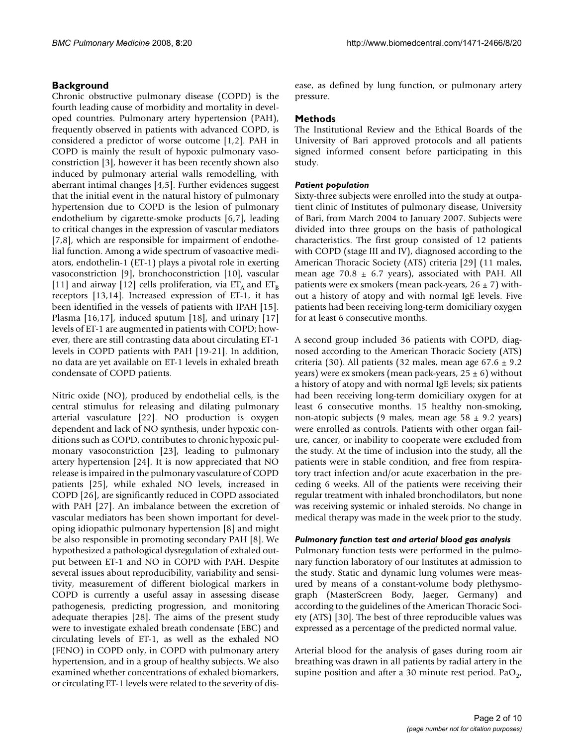# **Background**

Chronic obstructive pulmonary disease (COPD) is the fourth leading cause of morbidity and mortality in developed countries. Pulmonary artery hypertension (PAH), frequently observed in patients with advanced COPD, is considered a predictor of worse outcome [1,2]. PAH in COPD is mainly the result of hypoxic pulmonary vasoconstriction [3], however it has been recently shown also induced by pulmonary arterial walls remodelling, with aberrant intimal changes [4,5]. Further evidences suggest that the initial event in the natural history of pulmonary hypertension due to COPD is the lesion of pulmonary endothelium by cigarette-smoke products [6,7], leading to critical changes in the expression of vascular mediators [7,8], which are responsible for impairment of endothelial function. Among a wide spectrum of vasoactive mediators, endothelin-1 (ET-1) plays a pivotal role in exerting vasoconstriction [9], bronchoconstriction [10], vascular [11] and airway [12] cells proliferation, via  $ET_A$  and  $ET_B$ receptors [13,14]. Increased expression of ET-1, it has been identified in the vessels of patients with IPAH [15]. Plasma [16,17], induced sputum [18], and urinary [17] levels of ET-1 are augmented in patients with COPD; however, there are still contrasting data about circulating ET-1 levels in COPD patients with PAH [19-21]. In addition, no data are yet available on ET-1 levels in exhaled breath condensate of COPD patients.

Nitric oxide (NO), produced by endothelial cells, is the central stimulus for releasing and dilating pulmonary arterial vasculature [22]. NO production is oxygen dependent and lack of NO synthesis, under hypoxic conditions such as COPD, contributes to chronic hypoxic pulmonary vasoconstriction [23], leading to pulmonary artery hypertension [24]. It is now appreciated that NO release is impaired in the pulmonary vasculature of COPD patients [25], while exhaled NO levels, increased in COPD [26], are significantly reduced in COPD associated with PAH [27]. An imbalance between the excretion of vascular mediators has been shown important for developing idiopathic pulmonary hypertension [8] and might be also responsible in promoting secondary PAH [8]. We hypothesized a pathological dysregulation of exhaled output between ET-1 and NO in COPD with PAH. Despite several issues about reproducibility, variability and sensitivity, measurement of different biological markers in COPD is currently a useful assay in assessing disease pathogenesis, predicting progression, and monitoring adequate therapies [28]. The aims of the present study were to investigate exhaled breath condensate (EBC) and circulating levels of ET-1, as well as the exhaled NO (FENO) in COPD only, in COPD with pulmonary artery hypertension, and in a group of healthy subjects. We also examined whether concentrations of exhaled biomarkers, or circulating ET-1 levels were related to the severity of disease, as defined by lung function, or pulmonary artery pressure.

# **Methods**

The Institutional Review and the Ethical Boards of the University of Bari approved protocols and all patients signed informed consent before participating in this study.

# *Patient population*

Sixty-three subjects were enrolled into the study at outpatient clinic of Institutes of pulmonary disease, University of Bari, from March 2004 to January 2007. Subjects were divided into three groups on the basis of pathological characteristics. The first group consisted of 12 patients with COPD (stage III and IV), diagnosed according to the American Thoracic Society (ATS) criteria [[29](#page-8-0)] (11 males, mean age 70.8  $\pm$  6.7 years), associated with PAH. All patients were ex smokers (mean pack-years,  $26 \pm 7$ ) without a history of atopy and with normal IgE levels. Five patients had been receiving long-term domiciliary oxygen for at least 6 consecutive months.

A second group included 36 patients with COPD, diagnosed according to the American Thoracic Society (ATS) criteria (30). All patients (32 males, mean age  $67.6 \pm 9.2$ years) were ex smokers (mean pack-years,  $25 \pm 6$ ) without a history of atopy and with normal IgE levels; six patients had been receiving long-term domiciliary oxygen for at least 6 consecutive months. 15 healthy non-smoking, non-atopic subjects (9 males, mean age  $58 \pm 9.2$  years) were enrolled as controls. Patients with other organ failure, cancer, or inability to cooperate were excluded from the study. At the time of inclusion into the study, all the patients were in stable condition, and free from respiratory tract infection and/or acute exacerbation in the preceding 6 weeks. All of the patients were receiving their regular treatment with inhaled bronchodilators, but none was receiving systemic or inhaled steroids. No change in medical therapy was made in the week prior to the study.

#### *Pulmonary function test and arterial blood gas analysis*

Pulmonary function tests were performed in the pulmonary function laboratory of our Institutes at admission to the study. Static and dynamic lung volumes were measured by means of a constant-volume body plethysmograph (MasterScreen Body, Jaeger, Germany) and according to the guidelines of the American Thoracic Society (ATS) [[30\]](#page-8-1). The best of three reproducible values was expressed as a percentage of the predicted normal value.

Arterial blood for the analysis of gases during room air breathing was drawn in all patients by radial artery in the supine position and after a 30 minute rest period. PaO<sub>2</sub>,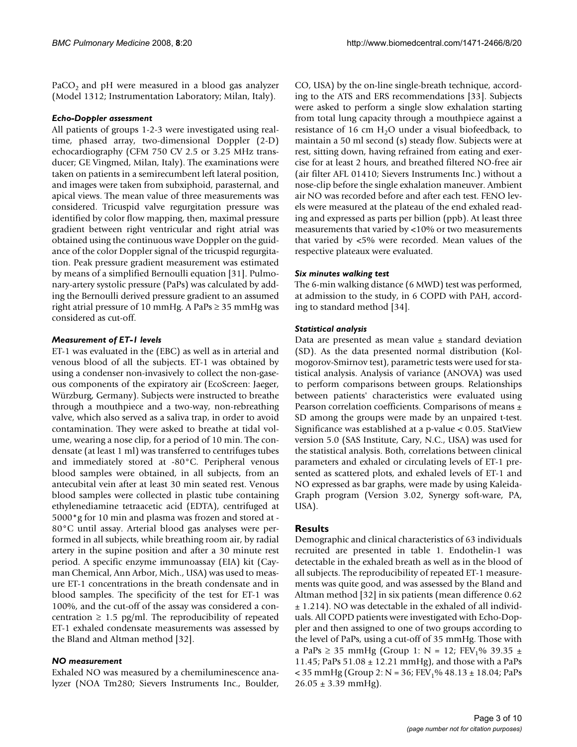PaCO<sub>2</sub> and pH were measured in a blood gas analyzer (Model 1312; Instrumentation Laboratory; Milan, Italy).

### *Echo-Doppler assessment*

All patients of groups 1-2-3 were investigated using realtime, phased array, two-dimensional Doppler (2-D) echocardiography (CFM 750 CV 2.5 or 3.25 MHz transducer; GE Vingmed, Milan, Italy). The examinations were taken on patients in a semirecumbent left lateral position, and images were taken from subxiphoid, parasternal, and apical views. The mean value of three measurements was considered. Tricuspid valve regurgitation pressure was identified by color flow mapping, then, maximal pressure gradient between right ventricular and right atrial was obtained using the continuous wave Doppler on the guidance of the color Doppler signal of the tricuspid regurgitation. Peak pressure gradient measurement was estimated by means of a simplified Bernoulli equation [31]. Pulmonary-artery systolic pressure (PaPs) was calculated by adding the Bernoulli derived pressure gradient to an assumed right atrial pressure of 10 mmHg. A PaPs  $\geq$  35 mmHg was considered as cut-off.

# *Measurement of ET-1 levels*

ET-1 was evaluated in the (EBC) as well as in arterial and venous blood of all the subjects. ET-1 was obtained by using a condenser non-invasively to collect the non-gaseous components of the expiratory air (EcoScreen: Jaeger, Würzburg, Germany). Subjects were instructed to breathe through a mouthpiece and a two-way, non-rebreathing valve, which also served as a saliva trap, in order to avoid contamination. They were asked to breathe at tidal volume, wearing a nose clip, for a period of 10 min. The condensate (at least 1 ml) was transferred to centrifuges tubes and immediately stored at -80°C. Peripheral venous blood samples were obtained, in all subjects, from an antecubital vein after at least 30 min seated rest. Venous blood samples were collected in plastic tube containing ethylenediamine tetraacetic acid (EDTA), centrifuged at 5000\*g for 10 min and plasma was frozen and stored at - 80°C until assay. Arterial blood gas analyses were performed in all subjects, while breathing room air, by radial artery in the supine position and after a 30 minute rest period. A specific enzyme immunoassay (EIA) kit (Cayman Chemical, Ann Arbor, Mich., USA) was used to measure ET-1 concentrations in the breath condensate and in blood samples. The specificity of the test for ET-1 was 100%, and the cut-off of the assay was considered a concentration  $\geq 1.5$  pg/ml. The reproducibility of repeated ET-1 exhaled condensate measurements was assessed by the Bland and Altman method [32].

#### *NO measurement*

Exhaled NO was measured by a chemiluminescence analyzer (NOA Tm280; Sievers Instruments Inc., Boulder, CO, USA) by the on-line single-breath technique, according to the ATS and ERS recommendations [33]. Subjects were asked to perform a single slow exhalation starting from total lung capacity through a mouthpiece against a resistance of 16 cm  $H<sub>2</sub>O$  under a visual biofeedback, to maintain a 50 ml second (s) steady flow. Subjects were at rest, sitting down, having refrained from eating and exercise for at least 2 hours, and breathed filtered NO-free air (air filter AFL 01410; Sievers Instruments Inc.) without a nose-clip before the single exhalation maneuver. Ambient air NO was recorded before and after each test. FENO levels were measured at the plateau of the end exhaled reading and expressed as parts per billion (ppb). At least three measurements that varied by <10% or two measurements that varied by <5% were recorded. Mean values of the respective plateaux were evaluated.

# *Six minutes walking test*

The 6-min walking distance (6 MWD) test was performed, at admission to the study, in 6 COPD with PAH, according to standard method [\[34](#page-8-2)].

# *Statistical analysis*

Data are presented as mean value  $\pm$  standard deviation (SD). As the data presented normal distribution (Kolmogorov-Smirnov test), parametric tests were used for statistical analysis. Analysis of variance (ANOVA) was used to perform comparisons between groups. Relationships between patients' characteristics were evaluated using Pearson correlation coefficients. Comparisons of means ± SD among the groups were made by an unpaired t-test. Significance was established at a p-value < 0.05. StatView version 5.0 (SAS Institute, Cary, N.C., USA) was used for the statistical analysis. Both, correlations between clinical parameters and exhaled or circulating levels of ET-1 presented as scattered plots, and exhaled levels of ET-1 and NO expressed as bar graphs, were made by using Kaleida-Graph program (Version 3.02, Synergy soft-ware, PA, USA).

# **Results**

Demographic and clinical characteristics of 63 individuals recruited are presented in table 1. Endothelin-1 was detectable in the exhaled breath as well as in the blood of all subjects. The reproducibility of repeated ET-1 measurements was quite good, and was assessed by the Bland and Altman method [32] in six patients (mean difference 0.62 ± 1.214). NO was detectable in the exhaled of all individuals. All COPD patients were investigated with Echo-Doppler and then assigned to one of two groups according to the level of PaPs, using a cut-off of 35 mmHg. Those with a PaPs ≥ 35 mmHg (Group 1: N = 12; FEV<sub>1</sub>% 39.35 ± 11.45; PaPs  $51.08 \pm 12.21$  mmHg), and those with a PaPs  $<$  35 mmHg (Group 2: N = 36; FEV<sub>1</sub>% 48.13  $\pm$  18.04; PaPs  $26.05 \pm 3.39$  mmHg).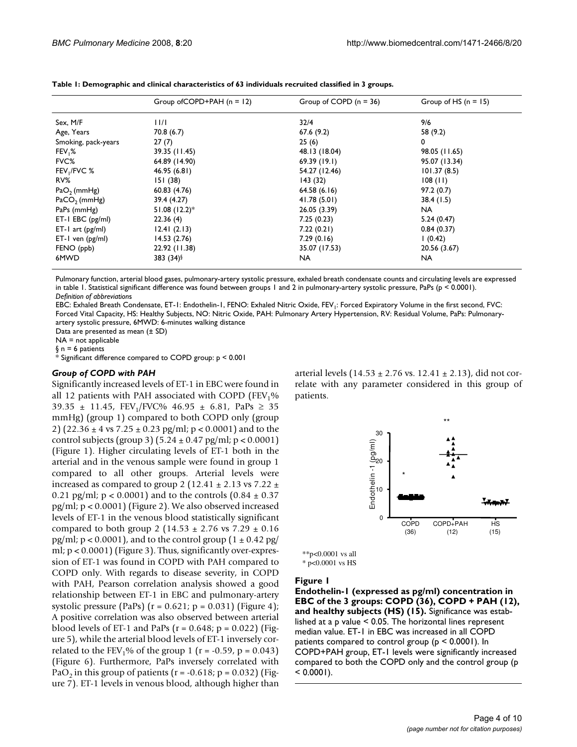|                         | Group of COPD+PAH $(n = 12)$ | Group of COPD $(n = 36)$ | Group of HS $(n = 15)$ |
|-------------------------|------------------------------|--------------------------|------------------------|
| Sex, M/F                | 11/1                         | 32/4                     | 9/6                    |
| Age, Years              | 70.8(6.7)                    | 67.6(9.2)                | 58 (9.2)               |
| Smoking, pack-years     | 27(7)                        | 25(6)                    | 0                      |
| FEV <sub>1</sub> %      | 39.35 (11.45)                | 48.13 (18.04)            | 98.05 (11.65)          |
| FVC%                    | 64.89 (14.90)                | 69.39(19.1)              | 95.07 (13.34)          |
| FEV <sub>I</sub> /FVC % | 46.95 (6.81)                 | 54.27 (12.46)            | 101.37(8.5)            |
| RV%                     | 151(38)                      | 143(32)                  | 108(11)                |
| $PaO2$ (mmHg)           | 60.83 (4.76)                 | 64.58(6.16)              | 97.2(0.7)              |
| $PaCO2$ (mmHg)          | 39.4 (4.27)                  | 41.78(5.01)              | 38.4(1.5)              |
| PaPs (mmHg)             | $51.08(12.2)*$               | 26.05 (3.39)             | <b>NA</b>              |
| $ET-I$ EBC ( $pg/ml$ )  | 22.36(4)                     | 7.25(0.23)               | 5.24(0.47)             |
| $ET-I$ art ( $pg/ml$ )  | 12.41(2.13)                  | 7.22(0.21)               | 0.84(0.37)             |
| $ET-I$ ven $(pg/ml)$    | 14.53(2.76)                  | 7.29(0.16)               | 1(0.42)                |
| FENO (ppb)              | 22.92 (11.38)                | 35.07 (17.53)            | 20.56 (3.67)           |
| 6MWD                    | 383 (34) §                   | NA                       | <b>NA</b>              |

**Table 1: Demographic and clinical characteristics of 63 individuals recruited classified in 3 groups.** 

Pulmonary function, arterial blood gases, pulmonary-artery systolic pressure, exhaled breath condensate counts and circulating levels are expressed in table 1. Statistical significant difference was found between groups 1 and 2 in pulmonary-artery systolic pressure, PaPs (p < 0.0001). *Definition of abbreviation*s

EBC: Exhaled Breath Condensate, ET-1: Endothelin-1, FENO: Exhaled Nitric Oxide, FEV<sub>1</sub>: Forced Expiratory Volume in the first second, FVC: Forced Vital Capacity, HS: Healthy Subjects, NO: Nitric Oxide, PAH: Pulmonary Artery Hypertension, RV: Residual Volume, PaPs: Pulmonaryartery systolic pressure, 6MWD: 6-minutes walking distance

Data are presented as mean (± SD)

NA = not applicable

 $§$  n = 6 patients

\* Significant difference compared to COPD group: p < 0.001

#### *Group of COPD with PAH*

Significantly increased levels of ET-1 in EBC were found in all 12 patients with PAH associated with COPD (FEV<sub>1</sub>%) 39.35 ± 11.45,  $FEV_1/FVC\%$  46.95 ± 6.81, PaPs  $\geq$  35 mmHg) (group 1) compared to both COPD only (group 2)  $(22.36 \pm 4 \text{ vs } 7.25 \pm 0.23 \text{ pg/ml}; p < 0.0001)$  and to the control subjects (group 3)  $(5.24 \pm 0.47 \text{ pg/ml}; p < 0.0001)$ (Figure 1). Higher circulating levels of ET-1 both in the arterial and in the venous sample were found in group 1 compared to all other groups. Arterial levels were increased as compared to group 2 (12.41  $\pm$  2.13 vs 7.22  $\pm$ 0.21 pg/ml;  $p < 0.0001$ ) and to the controls  $(0.84 \pm 0.37)$ pg/ml; p < 0.0001) (Figure 2). We also observed increased levels of ET-1 in the venous blood statistically significant compared to both group 2 (14.53  $\pm$  2.76 vs 7.29  $\pm$  0.16 pg/ml;  $p < 0.0001$ ), and to the control group  $(1 \pm 0.42 \text{ pg})$ ml; p < 0.0001) (Figure 3). Thus, significantly over-expression of ET-1 was found in COPD with PAH compared to COPD only. With regards to disease severity, in COPD with PAH, Pearson correlation analysis showed a good relationship between ET-1 in EBC and pulmonary-artery systolic pressure (PaPs) ( $r = 0.621$ ;  $p = 0.031$ ) (Figure 4); A positive correlation was also observed between arterial blood levels of ET-1 and PaPs ( $r = 0.648$ ;  $p = 0.022$ ) (Figure 5), while the arterial blood levels of ET-1 inversely correlated to the  $FEV<sub>1</sub>$ % of the group 1 (r = -0.59, p = 0.043) (Figure 6). Furthermore, PaPs inversely correlated with PaO<sub>2</sub> in this group of patients ( $r = -0.618$ ;  $p = 0.032$ ) (Figure 7). ET-1 levels in venous blood, although higher than

arterial levels  $(14.53 \pm 2.76 \text{ vs. } 12.41 \pm 2.13)$ , did not correlate with any parameter considered in this group of patients.



\*\*p<0.0001 vs all

\* p<0.0001 vs HS

### Figure 1

**Endothelin-1 (expressed as pg/ml) concentration in EBC of the 3 groups: COPD (36), COPD + PAH (12), and healthy subjects (HS) (15).** Significance was established at a p value < 0.05. The horizontal lines represent median value. ET-1 in EBC was increased in all COPD patients compared to control group (p < 0.0001). In COPD+PAH group, ET-1 levels were significantly increased compared to both the COPD only and the control group (p  $< 0.0001$ ).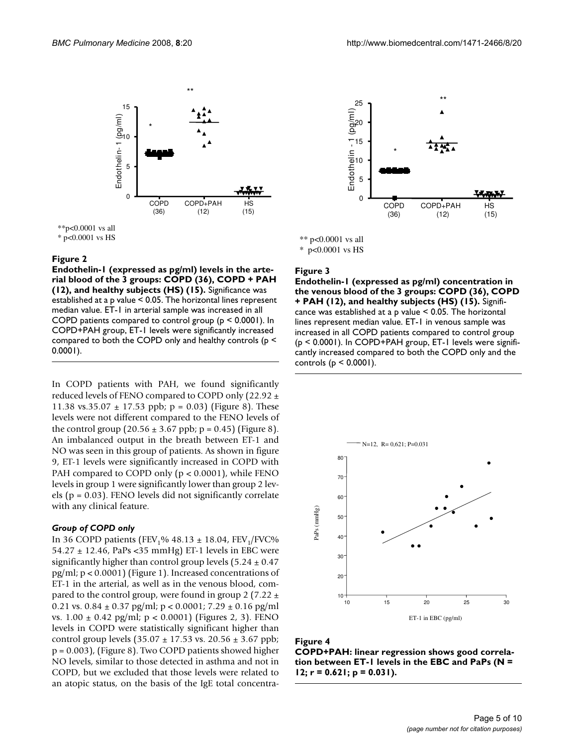



#### **Figure 2**

**Endothelin-1 (expressed as pg/ml) levels in the arterial blood of the 3 groups: COPD (36), COPD + PAH (12), and healthy subjects (HS) (15).** Significance was established at a p value < 0.05. The horizontal lines represent median value. ET-1 in arterial sample was increased in all COPD patients compared to control group (p < 0.0001). In COPD+PAH group, ET-1 levels were significantly increased compared to both the COPD only and healthy controls (p < 0.0001).

In COPD patients with PAH, we found significantly reduced levels of FENO compared to COPD only (22.92 ± 11.38 vs.35.07  $\pm$  17.53 ppb; p = 0.03) (Figure 8). These levels were not different compared to the FENO levels of the control group  $(20.56 \pm 3.67 \text{ pb})$ ; p = 0.45) (Figure 8). An imbalanced output in the breath between ET-1 and NO was seen in this group of patients. As shown in figure 9, ET-1 levels were significantly increased in COPD with PAH compared to COPD only (p < 0.0001), while FENO levels in group 1 were significantly lower than group 2 levels (p = 0.03). FENO levels did not significantly correlate with any clinical feature.

#### *Group of COPD only*

In 36 COPD patients (FEV<sub>1</sub>% 48.13  $\pm$  18.04, FEV<sub>1</sub>/FVC% 54.27 ± 12.46, PaPs <35 mmHg) ET-1 levels in EBC were significantly higher than control group levels  $(5.24 \pm 0.47)$ pg/ml; p < 0.0001) (Figure 1). Increased concentrations of ET-1 in the arterial, as well as in the venous blood, compared to the control group, were found in group 2 (7.22  $\pm$ 0.21 vs.  $0.84 \pm 0.37$  pg/ml; p < 0.0001;  $7.29 \pm 0.16$  pg/ml vs.  $1.00 \pm 0.42$  pg/ml; p < 0.0001) (Figures 2, 3). FENO levels in COPD were statistically significant higher than control group levels  $(35.07 \pm 17.53 \text{ vs. } 20.56 \pm 3.67 \text{ pb})$ ; p = 0.003), (Figure 8). Two COPD patients showed higher NO levels, similar to those detected in asthma and not in COPD, but we excluded that those levels were related to an atopic status, on the basis of the IgE total concentra-



\*\* p<0.0001 vs all

\* p<0.0001 vs HS

#### Figure 3

**Endothelin-1 (expressed as pg/ml) concentration in the venous blood of the 3 groups: COPD (36), COPD + PAH (12), and healthy subjects (HS) (15).** Significance was established at a p value < 0.05. The horizontal lines represent median value. ET-1 in venous sample was increased in all COPD patients compared to control group (p < 0.0001). In COPD+PAH group, ET-1 levels were significantly increased compared to both the COPD only and the controls ( $p < 0.0001$ ).



#### Figure 4 **COPD+PAH: linear regression shows good correlation between ET-1 levels in the EBC and PaPs (N = 12; r = 0.621; p = 0.031).**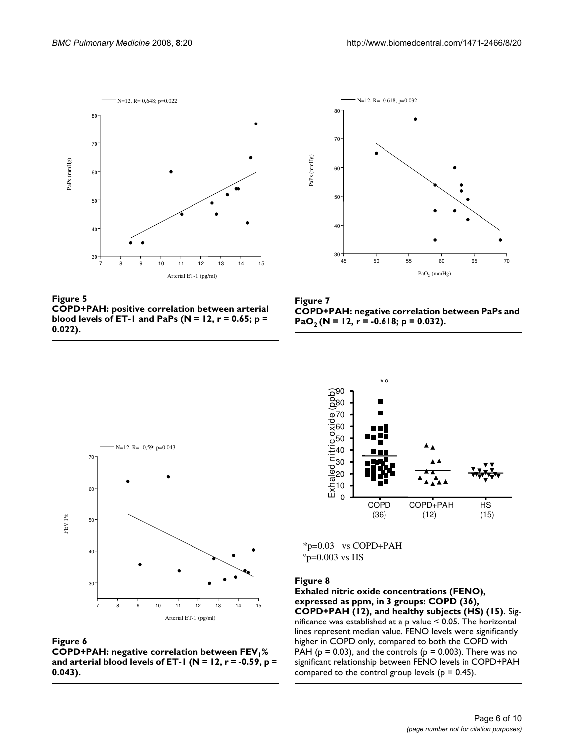





COPD+PAH: negative correlation between PaPs and PaO2 (N = 12, r = -0.618; p = 0.032) **Figure 7 COPD+PAH: negative correlation between PaPs and PaO2 (N = 12, r = -0.618; p = 0.032).**



**Figure 6** COPD+PAH: negative correlation between FEV (N = 12, r = 0.043) 1 and arte-**COPD+PAH: negative correlation between FEV1% and arterial blood levels of ET-1 (N = 12, r = -0.59, p = 0.043).**



\*p=0.03 vs COPD+PAH  $^{\circ}$ p=0.003 vs HS

### Figure 8

**Exhaled nitric oxide concentrations (FENO), expressed as ppm, in 3 groups: COPD (36), COPD+PAH (12), and healthy subjects (HS) (15).** Significance was established at a p value < 0.05. The horizontal lines represent median value. FENO levels were significantly higher in COPD only, compared to both the COPD with PAH ( $p = 0.03$ ), and the controls ( $p = 0.003$ ). There was no significant relationship between FENO levels in COPD+PAH compared to the control group levels ( $p = 0.45$ ).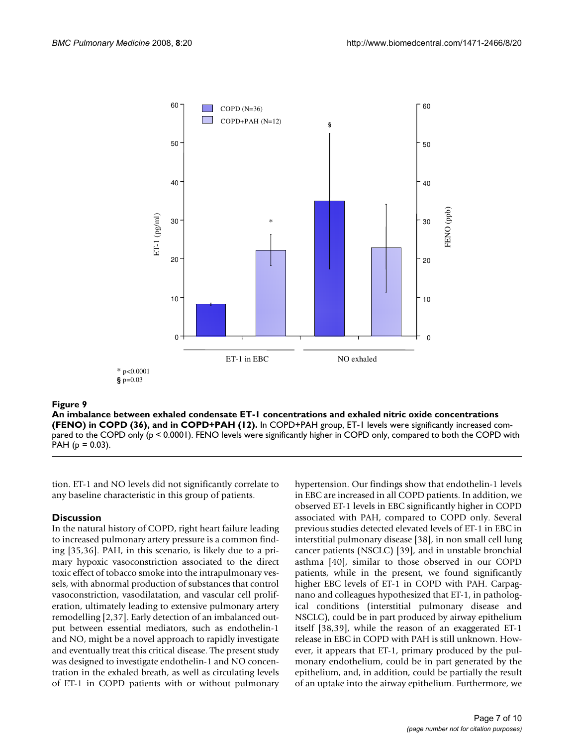

**An imbalance between exhaled condensate ET-1 concentrations and exhaled nitric oxide concentrations (FENO) in COPD (36), and in COPD+PAH (12).** In COPD+PAH group, ET-1 levels were significantly increased compared to the COPD only (p < 0.0001). FENO levels were significantly higher in COPD only, compared to both the COPD with PAH ( $p = 0.03$ ).

tion. ET-1 and NO levels did not significantly correlate to any baseline characteristic in this group of patients.

#### **Discussion**

In the natural history of COPD, right heart failure leading to increased pulmonary artery pressure is a common finding [35,36]. PAH, in this scenario, is likely due to a primary hypoxic vasoconstriction associated to the direct toxic effect of tobacco smoke into the intrapulmonary vessels, with abnormal production of substances that control vasoconstriction, vasodilatation, and vascular cell proliferation, ultimately leading to extensive pulmonary artery remodelling [2,37]. Early detection of an imbalanced output between essential mediators, such as endothelin-1 and NO, might be a novel approach to rapidly investigate and eventually treat this critical disease. The present study was designed to investigate endothelin-1 and NO concentration in the exhaled breath, as well as circulating levels of ET-1 in COPD patients with or without pulmonary

hypertension. Our findings show that endothelin-1 levels in EBC are increased in all COPD patients. In addition, we observed ET-1 levels in EBC significantly higher in COPD associated with PAH, compared to COPD only. Several previous studies detected elevated levels of ET-1 in EBC in interstitial pulmonary disease [38], in non small cell lung cancer patients (NSCLC) [39], and in unstable bronchial asthma [40], similar to those observed in our COPD patients, while in the present, we found significantly higher EBC levels of ET-1 in COPD with PAH. Carpagnano and colleagues hypothesized that ET-1, in pathological conditions (interstitial pulmonary disease and NSCLC), could be in part produced by airway epithelium itself [38,39], while the reason of an exaggerated ET-1 release in EBC in COPD with PAH is still unknown. However, it appears that ET-1, primary produced by the pulmonary endothelium, could be in part generated by the epithelium, and, in addition, could be partially the result of an uptake into the airway epithelium. Furthermore, we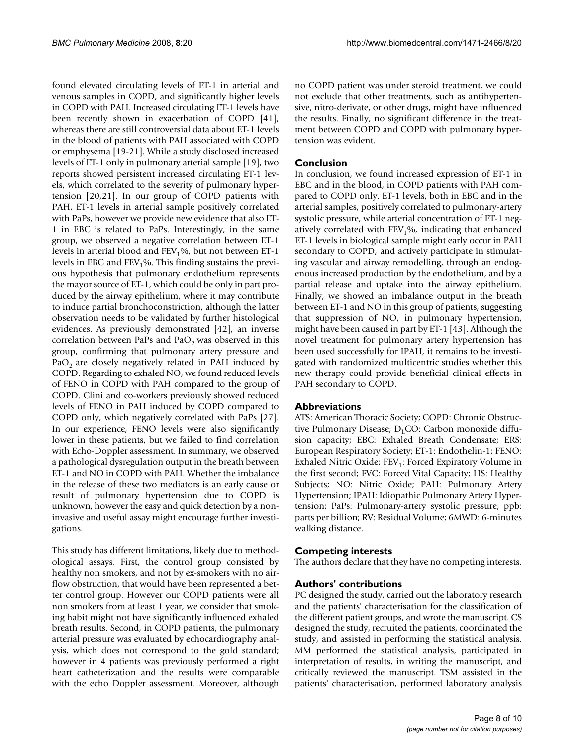found elevated circulating levels of ET-1 in arterial and venous samples in COPD, and significantly higher levels in COPD with PAH. Increased circulating ET-1 levels have been recently shown in exacerbation of COPD [41], whereas there are still controversial data about ET-1 levels in the blood of patients with PAH associated with COPD or emphysema [19-21]. While a study disclosed increased levels of ET-1 only in pulmonary arterial sample [19], two reports showed persistent increased circulating ET-1 levels, which correlated to the severity of pulmonary hypertension [20,21]. In our group of COPD patients with PAH, ET-1 levels in arterial sample positively correlated with PaPs, however we provide new evidence that also ET-1 in EBC is related to PaPs. Interestingly, in the same group, we observed a negative correlation between ET-1 levels in arterial blood and  $FEV<sub>1</sub>%$ , but not between ET-1 levels in EBC and  $FEV<sub>1</sub>$ %. This finding sustains the previous hypothesis that pulmonary endothelium represents the mayor source of ET-1, which could be only in part produced by the airway epithelium, where it may contribute to induce partial bronchoconstriction, although the latter observation needs to be validated by further histological evidences. As previously demonstrated [42], an inverse correlation between PaPs and PaO<sub>2</sub> was observed in this group, confirming that pulmonary artery pressure and PaO<sub>2</sub> are closely negatively related in PAH induced by COPD. Regarding to exhaled NO, we found reduced levels of FENO in COPD with PAH compared to the group of COPD. Clini and co-workers previously showed reduced levels of FENO in PAH induced by COPD compared to COPD only, which negatively correlated with PaPs [27]. In our experience, FENO levels were also significantly lower in these patients, but we failed to find correlation with Echo-Doppler assessment. In summary, we observed a pathological dysregulation output in the breath between ET-1 and NO in COPD with PAH. Whether the imbalance in the release of these two mediators is an early cause or result of pulmonary hypertension due to COPD is unknown, however the easy and quick detection by a noninvasive and useful assay might encourage further investigations.

This study has different limitations, likely due to methodological assays. First, the control group consisted by healthy non smokers, and not by ex-smokers with no airflow obstruction, that would have been represented a better control group. However our COPD patients were all non smokers from at least 1 year, we consider that smoking habit might not have significantly influenced exhaled breath results. Second, in COPD patients, the pulmonary arterial pressure was evaluated by echocardiography analysis, which does not correspond to the gold standard; however in 4 patients was previously performed a right heart catheterization and the results were comparable with the echo Doppler assessment. Moreover, although

no COPD patient was under steroid treatment, we could not exclude that other treatments, such as antihypertensive, nitro-derivate, or other drugs, might have influenced the results. Finally, no significant difference in the treatment between COPD and COPD with pulmonary hypertension was evident.

# **Conclusion**

In conclusion, we found increased expression of ET-1 in EBC and in the blood, in COPD patients with PAH compared to COPD only. ET-1 levels, both in EBC and in the arterial samples, positively correlated to pulmonary-artery systolic pressure, while arterial concentration of ET-1 negatively correlated with  $FEV<sub>1</sub>%$ , indicating that enhanced ET-1 levels in biological sample might early occur in PAH secondary to COPD, and actively participate in stimulating vascular and airway remodelling, through an endogenous increased production by the endothelium, and by a partial release and uptake into the airway epithelium. Finally, we showed an imbalance output in the breath between ET-1 and NO in this group of patients, suggesting that suppression of NO, in pulmonary hypertension, might have been caused in part by ET-1 [43]. Although the novel treatment for pulmonary artery hypertension has been used successfully for IPAH, it remains to be investigated with randomized multicentric studies whether this new therapy could provide beneficial clinical effects in PAH secondary to COPD.

#### **Abbreviations**

ATS: American Thoracic Society; COPD: Chronic Obstructive Pulmonary Disease;  $D<sub>I</sub>CO$ : Carbon monoxide diffusion capacity; EBC: Exhaled Breath Condensate; ERS: European Respiratory Society; ET-1: Endothelin-1; FENO: Exhaled Nitric Oxide;  $FEV<sub>1</sub>$ : Forced Expiratory Volume in the first second; FVC: Forced Vital Capacity; HS: Healthy Subjects; NO: Nitric Oxide; PAH: Pulmonary Artery Hypertension; IPAH: Idiopathic Pulmonary Artery Hypertension; PaPs: Pulmonary-artery systolic pressure; ppb: parts per billion; RV: Residual Volume; 6MWD: 6-minutes walking distance.

#### **Competing interests**

The authors declare that they have no competing interests.

#### **Authors' contributions**

PC designed the study, carried out the laboratory research and the patients' characterisation for the classification of the different patient groups, and wrote the manuscript. CS designed the study, recruited the patients, coordinated the study, and assisted in performing the statistical analysis. MM performed the statistical analysis, participated in interpretation of results, in writing the manuscript, and critically reviewed the manuscript. TSM assisted in the patients' characterisation, performed laboratory analysis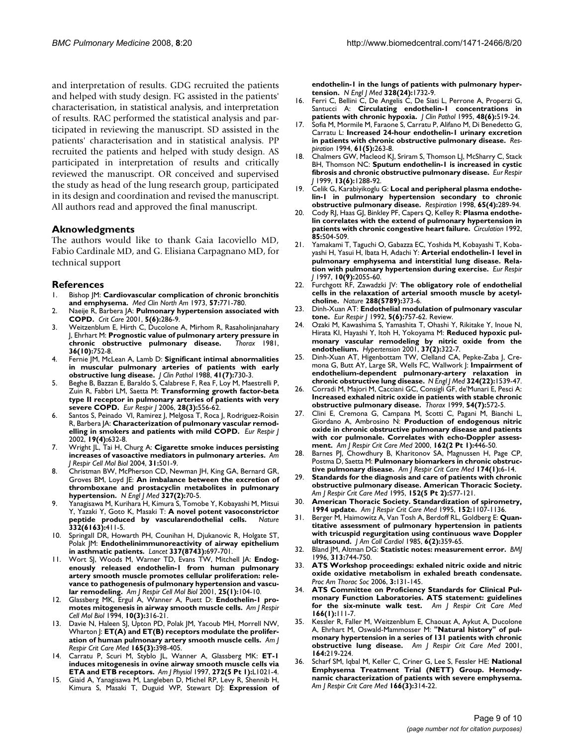and interpretation of results. GDG recruited the patients and helped with study design. FG assisted in the patients' characterisation, in statistical analysis, and interpretation of results. RAC performed the statistical analysis and participated in reviewing the manuscript. SD assisted in the patients' characterisation and in statistical analysis. PP recruited the patients and helped with study design. AS participated in interpretation of results and critically reviewed the manuscript. OR conceived and supervised the study as head of the lung research group, participated in its design and coordination and revised the manuscript. All authors read and approved the final manuscript.

#### **Aknowledgments**

The authors would like to thank Gaia Iacoviello MD, Fabio Cardinale MD, and G. Elisiana Carpagnano MD, for technical support

#### **References**

- 1. Bishop JM: **[Cardiovascular complication of chronic bronchitis](http://www.ncbi.nlm.nih.gov/entrez/query.fcgi?cmd=Retrieve&db=PubMed&dopt=Abstract&list_uids=4581715) [and emphysema.](http://www.ncbi.nlm.nih.gov/entrez/query.fcgi?cmd=Retrieve&db=PubMed&dopt=Abstract&list_uids=4581715)** *Med Clin North Am* 1973, **57:**771-780.
- 2. Naeije R, Barbera JA: **[Pulmonary hypertension associated with](http://www.ncbi.nlm.nih.gov/entrez/query.fcgi?cmd=Retrieve&db=PubMed&dopt=Abstract&list_uids=11737906) [COPD.](http://www.ncbi.nlm.nih.gov/entrez/query.fcgi?cmd=Retrieve&db=PubMed&dopt=Abstract&list_uids=11737906)** *Crit Care* 2001, **5(6):**286-9.
- 3. Weitzenblum E, Hirth C, Ducolone A, Mirhom R, Rasaholinjanahary J, Ehrhart M: **[Prognostic value of pulmonary artery pressure in](http://www.ncbi.nlm.nih.gov/entrez/query.fcgi?cmd=Retrieve&db=PubMed&dopt=Abstract&list_uids=7330793) [chronic obstructive pulmonary disease.](http://www.ncbi.nlm.nih.gov/entrez/query.fcgi?cmd=Retrieve&db=PubMed&dopt=Abstract&list_uids=7330793)** *Thorax* 1981, **36(10):**752-8.
- 4. Fernie JM, McLean A, Lamb D: **[Significant intimal abnormalities](http://www.ncbi.nlm.nih.gov/entrez/query.fcgi?cmd=Retrieve&db=PubMed&dopt=Abstract&list_uids=3410968) [in muscular pulmonary arteries of patients with early](http://www.ncbi.nlm.nih.gov/entrez/query.fcgi?cmd=Retrieve&db=PubMed&dopt=Abstract&list_uids=3410968) [obstructive lung disease.](http://www.ncbi.nlm.nih.gov/entrez/query.fcgi?cmd=Retrieve&db=PubMed&dopt=Abstract&list_uids=3410968)** *J Clin Pathol* 1988, **41(7):**730-3.
- 5. Beghe B, Bazzan E, Baraldo S, Calabrese F, Rea F, Loy M, Maestrelli P, Zuin R, Fabbri LM, Saetta M: **[Transforming growth factor-beta](http://www.ncbi.nlm.nih.gov/entrez/query.fcgi?cmd=Retrieve&db=PubMed&dopt=Abstract&list_uids=16737987) [type II receptor in pulmonary arteries of patients with very](http://www.ncbi.nlm.nih.gov/entrez/query.fcgi?cmd=Retrieve&db=PubMed&dopt=Abstract&list_uids=16737987) [severe COPD.](http://www.ncbi.nlm.nih.gov/entrez/query.fcgi?cmd=Retrieve&db=PubMed&dopt=Abstract&list_uids=16737987)** *Eur Respir J* 2006, **28(3):**556-62.
- 6. Santos S, Peinado VI, Ramirez J, Melgosa T, Roca J, Rodriguez-Roisin R, Barbera JA: **[Characterization of pulmonary vascular remod](http://www.ncbi.nlm.nih.gov/entrez/query.fcgi?cmd=Retrieve&db=PubMed&dopt=Abstract&list_uids=11998991)[elling in smokers and patients with mild COPD.](http://www.ncbi.nlm.nih.gov/entrez/query.fcgi?cmd=Retrieve&db=PubMed&dopt=Abstract&list_uids=11998991)** *Eur Respir J* 2002, **19(4):**632-8.
- 7. Wright JL, Tai H, Churg A: **[Cigarette smoke induces persisting](http://www.ncbi.nlm.nih.gov/entrez/query.fcgi?cmd=Retrieve&db=PubMed&dopt=Abstract&list_uids=15242846) [increases of vasoactive mediators in pulmonary arteries.](http://www.ncbi.nlm.nih.gov/entrez/query.fcgi?cmd=Retrieve&db=PubMed&dopt=Abstract&list_uids=15242846)** *Am J Respir Cell Mol Biol* 2004, **31:**501-9.
- 8. Christman BW, McPherson CD, Newman JH, King GA, Bernard GR, Groves BM, Loyd JE: **[An imbalance between the excretion of](http://www.ncbi.nlm.nih.gov/entrez/query.fcgi?cmd=Retrieve&db=PubMed&dopt=Abstract&list_uids=1603138) [thromboxane and prostacyclin metabolites in pulmonary](http://www.ncbi.nlm.nih.gov/entrez/query.fcgi?cmd=Retrieve&db=PubMed&dopt=Abstract&list_uids=1603138) [hypertension.](http://www.ncbi.nlm.nih.gov/entrez/query.fcgi?cmd=Retrieve&db=PubMed&dopt=Abstract&list_uids=1603138)** *N Engl J Med* **327(2):**70-5.
- 9. Yanagisawa M, Kurihara H, Kimura S, Tomobe Y, Kobayashi M, Mitsui Y, Yazaki Y, Goto K, Masaki T: **[A novel potent vasoconstrictor](http://www.ncbi.nlm.nih.gov/entrez/query.fcgi?cmd=Retrieve&db=PubMed&dopt=Abstract&list_uids=2451132)** [peptide produced by vascularendothelial cells.](http://www.ncbi.nlm.nih.gov/entrez/query.fcgi?cmd=Retrieve&db=PubMed&dopt=Abstract&list_uids=2451132) **332(6163):**411-5.
- 10. Springall DR, Howarth PH, Counihan H, Djukanovic R, Holgate ST, Polak JM: **[Endothelinimmunoreactivity of airway epithelium](http://www.ncbi.nlm.nih.gov/entrez/query.fcgi?cmd=Retrieve&db=PubMed&dopt=Abstract&list_uids=1706044) [in asthmatic patients.](http://www.ncbi.nlm.nih.gov/entrez/query.fcgi?cmd=Retrieve&db=PubMed&dopt=Abstract&list_uids=1706044)** *Lancet* **337(8743):**697-701.
- 11. Wort SJ, Woods M, Warner TD, Evans TW, Mitchell JA: **[Endog](http://www.ncbi.nlm.nih.gov/entrez/query.fcgi?cmd=Retrieve&db=PubMed&dopt=Abstract&list_uids=11472982)[enously released endothelin-1 from human pulmonary](http://www.ncbi.nlm.nih.gov/entrez/query.fcgi?cmd=Retrieve&db=PubMed&dopt=Abstract&list_uids=11472982) artery smooth muscle promotes cellular proliferation: relevance to pathogenesis of pulmonary hypertension and vascu[lar remodeling.](http://www.ncbi.nlm.nih.gov/entrez/query.fcgi?cmd=Retrieve&db=PubMed&dopt=Abstract&list_uids=11472982)** *Am J Respir Cell Mol Biol* 2001, **25(1):**104-10.
- 12. Glassberg MK, Ergul A, Wanner A, Puett D: **[Endothelin-1 pro](http://www.ncbi.nlm.nih.gov/entrez/query.fcgi?cmd=Retrieve&db=PubMed&dopt=Abstract&list_uids=7509612)[motes mitogenesis in airway smooth muscle cells.](http://www.ncbi.nlm.nih.gov/entrez/query.fcgi?cmd=Retrieve&db=PubMed&dopt=Abstract&list_uids=7509612)** *Am J Respir Cell Mol Biol* 1994, **10(3):**316-21.
- 13. Davie N, Haleen SJ, Upton PD, Polak JM, Yacoub MH, Morrell NW, Wharton J: **[ET\(A\) and ET\(B\) receptors modulate the prolifer](http://www.ncbi.nlm.nih.gov/entrez/query.fcgi?cmd=Retrieve&db=PubMed&dopt=Abstract&list_uids=11818328)[ation of human pulmonary artery smooth muscle cells.](http://www.ncbi.nlm.nih.gov/entrez/query.fcgi?cmd=Retrieve&db=PubMed&dopt=Abstract&list_uids=11818328)** *Am J Respir Crit Care Med* **165(3):**398-405.
- 14. Carratu P, Scuri M, Styblo JL, Wanner A, Glassberg MK: **[ET-1](http://www.ncbi.nlm.nih.gov/entrez/query.fcgi?cmd=Retrieve&db=PubMed&dopt=Abstract&list_uids=9176269) [induces mitogenesis in ovine airway smooth muscle cells via](http://www.ncbi.nlm.nih.gov/entrez/query.fcgi?cmd=Retrieve&db=PubMed&dopt=Abstract&list_uids=9176269) [ETA and ETB receptors.](http://www.ncbi.nlm.nih.gov/entrez/query.fcgi?cmd=Retrieve&db=PubMed&dopt=Abstract&list_uids=9176269)** *Am J Physiol* 1997, **272(5 Pt 1):**L1021-4.
- 15. Giaid A, Yanagisawa M, Langleben D, Michel RP, Levy R, Shennib H, Kimura S, Masaki T, Duguid WP, Stewart DJ: **[Expression of](http://www.ncbi.nlm.nih.gov/entrez/query.fcgi?cmd=Retrieve&db=PubMed&dopt=Abstract&list_uids=8497283)**

**[endothelin-1 in the lungs of patients with pulmonary hyper](http://www.ncbi.nlm.nih.gov/entrez/query.fcgi?cmd=Retrieve&db=PubMed&dopt=Abstract&list_uids=8497283)[tension.](http://www.ncbi.nlm.nih.gov/entrez/query.fcgi?cmd=Retrieve&db=PubMed&dopt=Abstract&list_uids=8497283)** *N Engl J Med* **328(24):**1732-9.

- 16. Ferri C, Bellini C, De Angelis C, De Siati L, Perrone A, Properzi G, Santucci A: **[Circulating endothelin-1 concentrations in](http://www.ncbi.nlm.nih.gov/entrez/query.fcgi?cmd=Retrieve&db=PubMed&dopt=Abstract&list_uids=7665694) [patients with chronic hypoxia.](http://www.ncbi.nlm.nih.gov/entrez/query.fcgi?cmd=Retrieve&db=PubMed&dopt=Abstract&list_uids=7665694)** *J Clin Pathol* 1995, **48(6):**519-24.
- 17. Sofia M, Mormile M, Faraone S, Carratu P, Alifano M, Di Benedetto G, Carratu L: **[Increased 24-hour endothelin-1 urinary excretion](http://www.ncbi.nlm.nih.gov/entrez/query.fcgi?cmd=Retrieve&db=PubMed&dopt=Abstract&list_uids=7800957) [in patients with chronic obstructive pulmonary disease.](http://www.ncbi.nlm.nih.gov/entrez/query.fcgi?cmd=Retrieve&db=PubMed&dopt=Abstract&list_uids=7800957)** *Respiration* 1994, **61(5):**263-8.
- 18. Chalmers GW, Macleod KJ, Sriram S, Thomson LJ, McSharry C, Stack BH, Thomson NC: **[Sputum endothelin-1 is increased in cystic](http://www.ncbi.nlm.nih.gov/entrez/query.fcgi?cmd=Retrieve&db=PubMed&dopt=Abstract&list_uids=10445603) [fibrosis and chronic obstructive pulmonary disease.](http://www.ncbi.nlm.nih.gov/entrez/query.fcgi?cmd=Retrieve&db=PubMed&dopt=Abstract&list_uids=10445603)** *Eur Respir J* 1999, **13(6):**1288-92.
- 19. Celik G, Karabiyikoglu G: **[Local and peripheral plasma endothe](http://www.ncbi.nlm.nih.gov/entrez/query.fcgi?cmd=Retrieve&db=PubMed&dopt=Abstract&list_uids=9730795)[lin-1 in pulmonary hypertension secondary to chronic](http://www.ncbi.nlm.nih.gov/entrez/query.fcgi?cmd=Retrieve&db=PubMed&dopt=Abstract&list_uids=9730795) [obstructive pulmonary disease.](http://www.ncbi.nlm.nih.gov/entrez/query.fcgi?cmd=Retrieve&db=PubMed&dopt=Abstract&list_uids=9730795)** *Respiration* 1998, **65(4):**289-94.
- 20. Cody RJ, Haas GJ, Binkley PF, Capers Q, Kelley R: **[Plasma endothe](http://www.ncbi.nlm.nih.gov/entrez/query.fcgi?cmd=Retrieve&db=PubMed&dopt=Abstract&list_uids=1735147)[lin correlates with the extend of pulmonary hypertension in](http://www.ncbi.nlm.nih.gov/entrez/query.fcgi?cmd=Retrieve&db=PubMed&dopt=Abstract&list_uids=1735147) [patients with chronic congestive heart failure.](http://www.ncbi.nlm.nih.gov/entrez/query.fcgi?cmd=Retrieve&db=PubMed&dopt=Abstract&list_uids=1735147)** *Circulation* 1992, **85:**504-509.
- 21. Yamakami T, Taguchi O, Gabazza EC, Yoshida M, Kobayashi T, Kobayashi H, Yasui H, Ibata H, Adachi Y: **[Arterial endothelin-1 level in](http://www.ncbi.nlm.nih.gov/entrez/query.fcgi?cmd=Retrieve&db=PubMed&dopt=Abstract&list_uids=9311502) [pulmonary emphysema and interstitial lung disease. Rela](http://www.ncbi.nlm.nih.gov/entrez/query.fcgi?cmd=Retrieve&db=PubMed&dopt=Abstract&list_uids=9311502)[tion with pulmonary hypertension during exercise.](http://www.ncbi.nlm.nih.gov/entrez/query.fcgi?cmd=Retrieve&db=PubMed&dopt=Abstract&list_uids=9311502)** *Eur Respir J* 1997, **10(9):**2055-60.
- 22. Furchgott RF, Zawadzki JV: **[The obligatory role of endothelial](http://www.ncbi.nlm.nih.gov/entrez/query.fcgi?cmd=Retrieve&db=PubMed&dopt=Abstract&list_uids=6253831) [cells in the relaxation of arterial smooth muscle by acetyl](http://www.ncbi.nlm.nih.gov/entrez/query.fcgi?cmd=Retrieve&db=PubMed&dopt=Abstract&list_uids=6253831)[choline.](http://www.ncbi.nlm.nih.gov/entrez/query.fcgi?cmd=Retrieve&db=PubMed&dopt=Abstract&list_uids=6253831)** *Nature* **288(5789):**373-6.
- 23. Dinh-Xuan AT: **[Endothelial modulation of pulmonary vascular](http://www.ncbi.nlm.nih.gov/entrez/query.fcgi?cmd=Retrieve&db=PubMed&dopt=Abstract&list_uids=1628735) [tone.](http://www.ncbi.nlm.nih.gov/entrez/query.fcgi?cmd=Retrieve&db=PubMed&dopt=Abstract&list_uids=1628735)** *Eur Respir J* 1992, **5(6):**757-62. Review.
- 24. Ozaki M, Kawashima S, Yamashita T, Ohashi Y, Rikitake Y, Inoue N, Hirata KI, Hayashi Y, Itoh H, Yokoyama M: **[Reduced hypoxic pul](http://www.ncbi.nlm.nih.gov/entrez/query.fcgi?cmd=Retrieve&db=PubMed&dopt=Abstract&list_uids=11230292)[monary vascular remodeling by nitric oxide from the](http://www.ncbi.nlm.nih.gov/entrez/query.fcgi?cmd=Retrieve&db=PubMed&dopt=Abstract&list_uids=11230292) [endothelium.](http://www.ncbi.nlm.nih.gov/entrez/query.fcgi?cmd=Retrieve&db=PubMed&dopt=Abstract&list_uids=11230292)** *Hypertension* 2001, **37(2):**322-7.
- 25. Dinh-Xuan AT, Higenbottam TW, Clelland CA, Pepke-Zaba J, Cremona G, Butt AY, Large SR, Wells FC, Wallwork J: **[Impairment of](http://www.ncbi.nlm.nih.gov/entrez/query.fcgi?cmd=Retrieve&db=PubMed&dopt=Abstract&list_uids=2027358) [endothelium-dependent pulmonary-artery relaxation in](http://www.ncbi.nlm.nih.gov/entrez/query.fcgi?cmd=Retrieve&db=PubMed&dopt=Abstract&list_uids=2027358) [chronic obstructive lung disease.](http://www.ncbi.nlm.nih.gov/entrez/query.fcgi?cmd=Retrieve&db=PubMed&dopt=Abstract&list_uids=2027358)** *N Engl J Med* **324(22):**1539-47.
- 26. Corradi M, Majori M, Cacciani GC, Consigli GF, de'Munari E, Pesci A: **[Increased exhaled nitric oxide in patients with stable chronic](http://www.ncbi.nlm.nih.gov/entrez/query.fcgi?cmd=Retrieve&db=PubMed&dopt=Abstract&list_uids=10377199) [obstructive pulmonary disease.](http://www.ncbi.nlm.nih.gov/entrez/query.fcgi?cmd=Retrieve&db=PubMed&dopt=Abstract&list_uids=10377199)** *Thorax* 1999, **54(7):**572-5.
- 27. Clini E, Cremona G, Campana M, Scotti C, Pagani M, Bianchi L, Giordano A, Ambrosino N: **[Production of endogenous nitric](http://www.ncbi.nlm.nih.gov/entrez/query.fcgi?cmd=Retrieve&db=PubMed&dopt=Abstract&list_uids=10934068) [oxide in chronic obstructive pulmonary disease and patients](http://www.ncbi.nlm.nih.gov/entrez/query.fcgi?cmd=Retrieve&db=PubMed&dopt=Abstract&list_uids=10934068) with cor pulmonale. Correlates with echo-Doppler assess[ment.](http://www.ncbi.nlm.nih.gov/entrez/query.fcgi?cmd=Retrieve&db=PubMed&dopt=Abstract&list_uids=10934068)** *Am J Respir Crit Care Med* 2000, **162(2 Pt 1):**446-50.
- 28. Barnes PJ, Chowdhury B, Kharitonov SA, Magnussen H, Page CP, Postma D, Saetta M: **[Pulmonary biomarkers in chronic obstruc](http://www.ncbi.nlm.nih.gov/entrez/query.fcgi?cmd=Retrieve&db=PubMed&dopt=Abstract&list_uids=16556692)[tive pulmonary disease.](http://www.ncbi.nlm.nih.gov/entrez/query.fcgi?cmd=Retrieve&db=PubMed&dopt=Abstract&list_uids=16556692)** *Am J Respir Crit Care Med* **174(1):**6-14.
- <span id="page-8-0"></span>29. **[Standards for the diagnosis and care of patients with chronic](http://www.ncbi.nlm.nih.gov/entrez/query.fcgi?cmd=Retrieve&db=PubMed&dopt=Abstract&list_uids=7582322) [obstructive pulmonary disease. American Thoracic Society.](http://www.ncbi.nlm.nih.gov/entrez/query.fcgi?cmd=Retrieve&db=PubMed&dopt=Abstract&list_uids=7582322)** *Am J Respir Crit Care Med* 1995, **152(5 Pt 2):**S77-121.
- <span id="page-8-1"></span>30. **[American Thoracic Society. Standardization of spirometry,](http://www.ncbi.nlm.nih.gov/entrez/query.fcgi?cmd=Retrieve&db=PubMed&dopt=Abstract&list_uids=7663792) [1994 update.](http://www.ncbi.nlm.nih.gov/entrez/query.fcgi?cmd=Retrieve&db=PubMed&dopt=Abstract&list_uids=7663792)** *Am J Respir Crit Care Med* 1995, **152:**1107-1136.
- 31. Berger M, Haimowitz A, Van Tosh A, Berdoff RL, Goldberg E: **[Quan](http://www.ncbi.nlm.nih.gov/entrez/query.fcgi?cmd=Retrieve&db=PubMed&dopt=Abstract&list_uids=4019921)[titative assessment of pulmonary hypertension in patients](http://www.ncbi.nlm.nih.gov/entrez/query.fcgi?cmd=Retrieve&db=PubMed&dopt=Abstract&list_uids=4019921) with tricuspid regurgitation using continuous wave Doppler [ultrasound.](http://www.ncbi.nlm.nih.gov/entrez/query.fcgi?cmd=Retrieve&db=PubMed&dopt=Abstract&list_uids=4019921)** *J Am Coll Cardiol* 1985, **6(2):**359-65.
- 32. Bland JM, Altman DG: **[Statistic notes: measurement error.](http://www.ncbi.nlm.nih.gov/entrez/query.fcgi?cmd=Retrieve&db=PubMed&dopt=Abstract&list_uids=8819450)** *BMJ* 1996, **313:**744-750.
- 33. **[ATS Workshop proceedings: exhaled nitric oxide and nitric](http://www.ncbi.nlm.nih.gov/entrez/query.fcgi?cmd=Retrieve&db=PubMed&dopt=Abstract&list_uids=16565422) [oxide oxidative metabolism in exhaled breath condensate.](http://www.ncbi.nlm.nih.gov/entrez/query.fcgi?cmd=Retrieve&db=PubMed&dopt=Abstract&list_uids=16565422)** *Proc Am Thorac Soc* 2006, **3:**131-145.
- <span id="page-8-2"></span>34. **[ATS Committee on Proficiency Standards for Clinical Pul](http://www.ncbi.nlm.nih.gov/entrez/query.fcgi?cmd=Retrieve&db=PubMed&dopt=Abstract&list_uids=12091180)[monary Function Laboratories. ATS statement: guidelines](http://www.ncbi.nlm.nih.gov/entrez/query.fcgi?cmd=Retrieve&db=PubMed&dopt=Abstract&list_uids=12091180) [for the six-minute walk test.](http://www.ncbi.nlm.nih.gov/entrez/query.fcgi?cmd=Retrieve&db=PubMed&dopt=Abstract&list_uids=12091180)** *Am J Respir Crit Care Med* **166(1):**111-7.
- 35. Kessler R, Faller M, Weitzenblum E, Chaouat A, Aykut A, Ducolone A, Ehrhart M, Oswald-Mammosser M: **["Natural history" of pul](http://www.ncbi.nlm.nih.gov/entrez/query.fcgi?cmd=Retrieve&db=PubMed&dopt=Abstract&list_uids=11463591)[monary hypertension in a series of 131 patients with chronic](http://www.ncbi.nlm.nih.gov/entrez/query.fcgi?cmd=Retrieve&db=PubMed&dopt=Abstract&list_uids=11463591) [obstructive lung disease.](http://www.ncbi.nlm.nih.gov/entrez/query.fcgi?cmd=Retrieve&db=PubMed&dopt=Abstract&list_uids=11463591)** *Am J Respir Crit Care Med* 2001, **164:**219-224.
- 36. Scharf SM, Iqbal M, Keller C, Criner G, Lee S, Fessler HE: **[National](http://www.ncbi.nlm.nih.gov/entrez/query.fcgi?cmd=Retrieve&db=PubMed&dopt=Abstract&list_uids=12153963) [Emphysema Treatment Trial \(NETT\) Group. Hemody](http://www.ncbi.nlm.nih.gov/entrez/query.fcgi?cmd=Retrieve&db=PubMed&dopt=Abstract&list_uids=12153963)namic characterization of patients with severe emphysema.** *Am J Respir Crit Care Med* **166(3):**314-22.